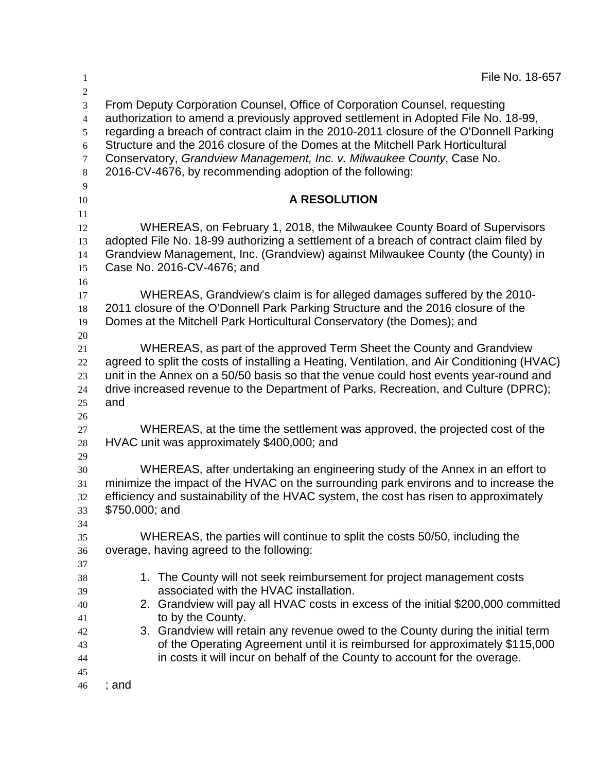| 1                    | File No. 18-657                                                                                                                                                          |
|----------------------|--------------------------------------------------------------------------------------------------------------------------------------------------------------------------|
| $\overline{2}$       |                                                                                                                                                                          |
| $\overline{3}$       | From Deputy Corporation Counsel, Office of Corporation Counsel, requesting                                                                                               |
| $\overline{4}$       | authorization to amend a previously approved settlement in Adopted File No. 18-99,                                                                                       |
| 5                    | regarding a breach of contract claim in the 2010-2011 closure of the O'Donnell Parking<br>Structure and the 2016 closure of the Domes at the Mitchell Park Horticultural |
| $\sqrt{6}$<br>$\tau$ | Conservatory, Grandview Management, Inc. v. Milwaukee County, Case No.                                                                                                   |
| $\,8\,$              | 2016-CV-4676, by recommending adoption of the following:                                                                                                                 |
| 9                    |                                                                                                                                                                          |
| 10                   | <b>A RESOLUTION</b>                                                                                                                                                      |
| 11                   |                                                                                                                                                                          |
| 12                   | WHEREAS, on February 1, 2018, the Milwaukee County Board of Supervisors                                                                                                  |
| 13                   | adopted File No. 18-99 authorizing a settlement of a breach of contract claim filed by                                                                                   |
| 14                   | Grandview Management, Inc. (Grandview) against Milwaukee County (the County) in                                                                                          |
| 15                   | Case No. 2016-CV-4676; and                                                                                                                                               |
| 16<br>17             | WHEREAS, Grandview's claim is for alleged damages suffered by the 2010-                                                                                                  |
| 18                   | 2011 closure of the O'Donnell Park Parking Structure and the 2016 closure of the                                                                                         |
| 19                   | Domes at the Mitchell Park Horticultural Conservatory (the Domes); and                                                                                                   |
| 20                   |                                                                                                                                                                          |
| 21                   | WHEREAS, as part of the approved Term Sheet the County and Grandview                                                                                                     |
| 22                   | agreed to split the costs of installing a Heating, Ventilation, and Air Conditioning (HVAC)                                                                              |
| 23                   | unit in the Annex on a 50/50 basis so that the venue could host events year-round and                                                                                    |
| 24                   | drive increased revenue to the Department of Parks, Recreation, and Culture (DPRC);                                                                                      |
| 25                   | and                                                                                                                                                                      |
| 26                   | WHEREAS, at the time the settlement was approved, the projected cost of the                                                                                              |
| 27<br>28             | HVAC unit was approximately \$400,000; and                                                                                                                               |
| 29                   |                                                                                                                                                                          |
| 30                   | WHEREAS, after undertaking an engineering study of the Annex in an effort to                                                                                             |
| 31                   | minimize the impact of the HVAC on the surrounding park environs and to increase the                                                                                     |
| 32                   | efficiency and sustainability of the HVAC system, the cost has risen to approximately                                                                                    |
| 33                   | \$750,000; and                                                                                                                                                           |
| 34                   |                                                                                                                                                                          |
| 35                   | WHEREAS, the parties will continue to split the costs 50/50, including the                                                                                               |
| 36                   | overage, having agreed to the following:                                                                                                                                 |
| 37<br>38             | 1. The County will not seek reimbursement for project management costs                                                                                                   |
| 39                   | associated with the HVAC installation.                                                                                                                                   |
| 40                   | 2. Grandview will pay all HVAC costs in excess of the initial \$200,000 committed                                                                                        |
| 41                   | to by the County.                                                                                                                                                        |
| 42                   | 3. Grandview will retain any revenue owed to the County during the initial term                                                                                          |
| 43                   | of the Operating Agreement until it is reimbursed for approximately \$115,000                                                                                            |
| 44                   | in costs it will incur on behalf of the County to account for the overage.                                                                                               |
| 45                   |                                                                                                                                                                          |
| 46                   | ; and                                                                                                                                                                    |